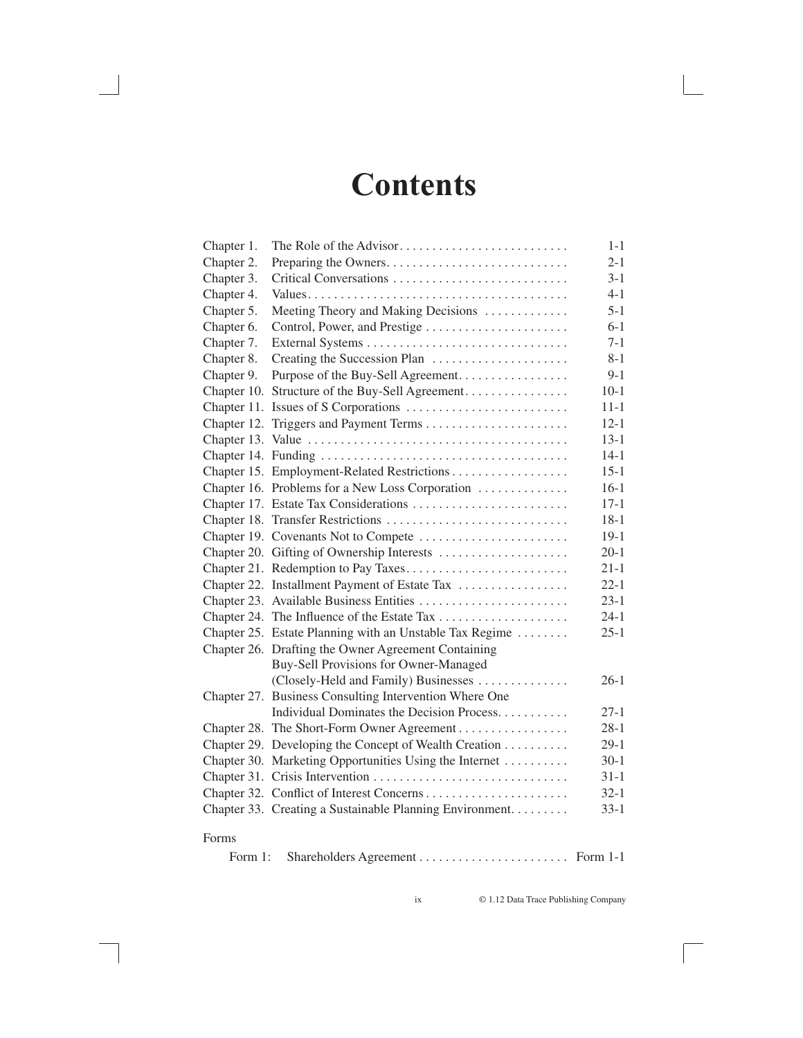## **Contents**

| Chapter 1.  | The Role of the Advisor                                 | $1 - 1$  |
|-------------|---------------------------------------------------------|----------|
| Chapter 2.  | Preparing the Owners                                    | $2 - 1$  |
| Chapter 3.  |                                                         | $3 - 1$  |
| Chapter 4.  |                                                         | $4 - 1$  |
| Chapter 5.  | Meeting Theory and Making Decisions                     | $5-1$    |
| Chapter 6.  |                                                         | $6 - 1$  |
| Chapter 7.  |                                                         | $7 - 1$  |
| Chapter 8.  |                                                         | $8 - 1$  |
| Chapter 9.  | Purpose of the Buy-Sell Agreement.                      | $9 - 1$  |
| Chapter 10. | Structure of the Buy-Sell Agreement                     | $10-1$   |
|             |                                                         | $11 - 1$ |
| Chapter 12. |                                                         | $12 - 1$ |
|             |                                                         | $13 - 1$ |
|             |                                                         | $14-1$   |
|             |                                                         | $15 - 1$ |
|             | Chapter 16. Problems for a New Loss Corporation         | $16-1$   |
|             |                                                         | $17 - 1$ |
|             |                                                         | $18-1$   |
|             |                                                         | $19-1$   |
|             | Chapter 20. Gifting of Ownership Interests              | $20-1$   |
|             | Chapter 21. Redemption to Pay Taxes                     | $21-1$   |
|             | Chapter 22. Installment Payment of Estate Tax           | $22 - 1$ |
|             | Chapter 23. Available Business Entities                 | $23-1$   |
|             | Chapter 24. The Influence of the Estate Tax             | $24-1$   |
|             | Chapter 25. Estate Planning with an Unstable Tax Regime | $25-1$   |
|             | Chapter 26. Drafting the Owner Agreement Containing     |          |
|             | Buy-Sell Provisions for Owner-Managed                   |          |
|             | (Closely-Held and Family) Businesses                    | $26-1$   |
|             | Chapter 27. Business Consulting Intervention Where One  |          |
|             | Individual Dominates the Decision Process.              | $27-1$   |
|             | Chapter 28. The Short-Form Owner Agreement              | $28-1$   |
|             | Chapter 29. Developing the Concept of Wealth Creation   | $29-1$   |
|             | Chapter 30. Marketing Opportunities Using the Internet  | $30-1$   |
|             |                                                         | $31-1$   |
|             |                                                         | $32 - 1$ |
|             | Chapter 33. Creating a Sustainable Planning Environment | $33 - 1$ |
| Forms       |                                                         |          |
| Form 1:     |                                                         |          |